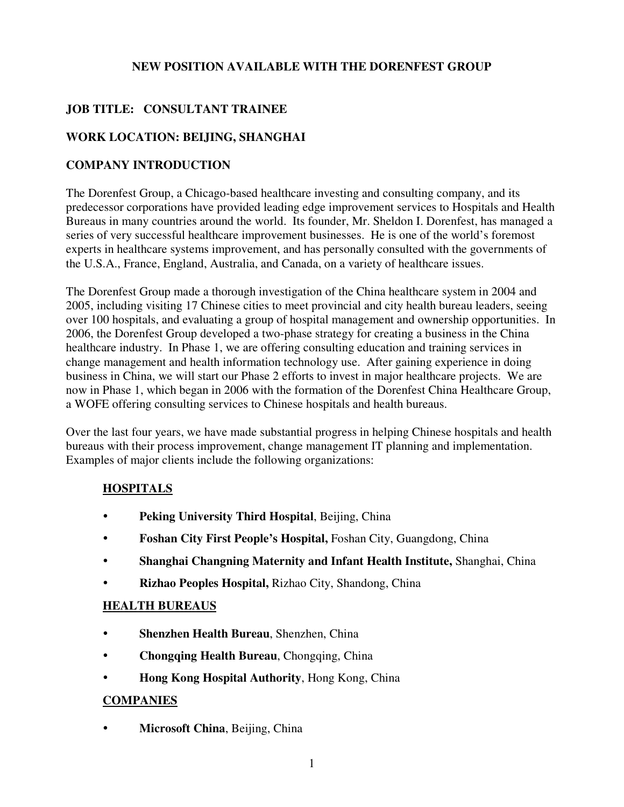### **NEW POSITION AVAILABLE WITH THE DORENFEST GROUP**

# **JOB TITLE: CONSULTANT TRAINEE**

## **WORK LOCATION: BEIJING, SHANGHAI**

### **COMPANY INTRODUCTION**

The Dorenfest Group, a Chicago-based healthcare investing and consulting company, and its predecessor corporations have provided leading edge improvement services to Hospitals and Health Bureaus in many countries around the world. Its founder, Mr. Sheldon I. Dorenfest, has managed a series of very successful healthcare improvement businesses. He is one of the world's foremost experts in healthcare systems improvement, and has personally consulted with the governments of the U.S.A., France, England, Australia, and Canada, on a variety of healthcare issues.

The Dorenfest Group made a thorough investigation of the China healthcare system in 2004 and 2005, including visiting 17 Chinese cities to meet provincial and city health bureau leaders, seeing over 100 hospitals, and evaluating a group of hospital management and ownership opportunities. In 2006, the Dorenfest Group developed a two-phase strategy for creating a business in the China healthcare industry. In Phase 1, we are offering consulting education and training services in change management and health information technology use. After gaining experience in doing business in China, we will start our Phase 2 efforts to invest in major healthcare projects. We are now in Phase 1, which began in 2006 with the formation of the Dorenfest China Healthcare Group, a WOFE offering consulting services to Chinese hospitals and health bureaus.

Over the last four years, we have made substantial progress in helping Chinese hospitals and health bureaus with their process improvement, change management IT planning and implementation. Examples of major clients include the following organizations:

## **HOSPITALS**

- **Peking University Third Hospital**, Beijing, China
- **Foshan City First People's Hospital,** Foshan City, Guangdong, China
- **Shanghai Changning Maternity and Infant Health Institute,** Shanghai, China
- **Rizhao Peoples Hospital,** Rizhao City, Shandong, China

#### **HEALTH BUREAUS**

- **Shenzhen Health Bureau**, Shenzhen, China
- **Chongqing Health Bureau**, Chongqing, China
- **Hong Kong Hospital Authority**, Hong Kong, China

#### **COMPANIES**

**• Microsoft China**, Beijing, China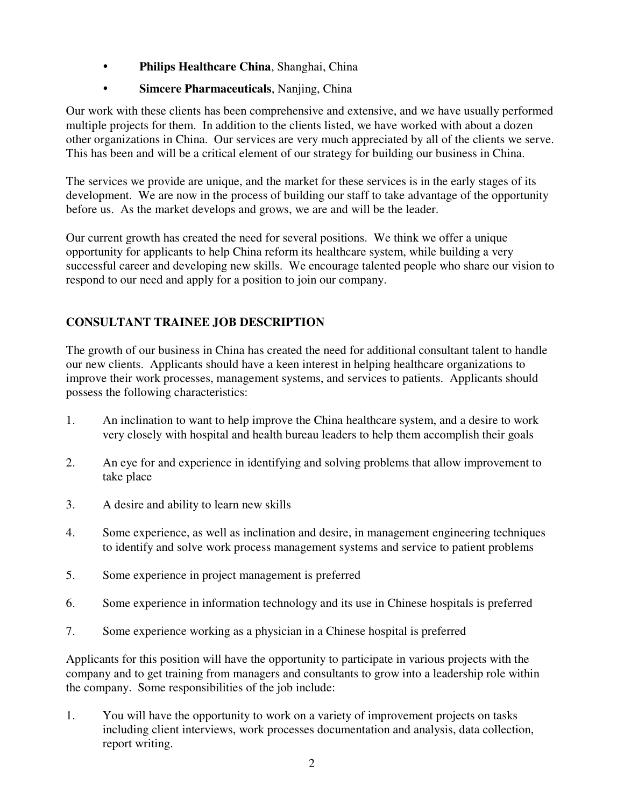- **Philips Healthcare China**, Shanghai, China
- **Simcere Pharmaceuticals**, Nanjing, China

Our work with these clients has been comprehensive and extensive, and we have usually performed multiple projects for them. In addition to the clients listed, we have worked with about a dozen other organizations in China. Our services are very much appreciated by all of the clients we serve. This has been and will be a critical element of our strategy for building our business in China.

The services we provide are unique, and the market for these services is in the early stages of its development. We are now in the process of building our staff to take advantage of the opportunity before us. As the market develops and grows, we are and will be the leader.

Our current growth has created the need for several positions. We think we offer a unique opportunity for applicants to help China reform its healthcare system, while building a very successful career and developing new skills. We encourage talented people who share our vision to respond to our need and apply for a position to join our company.

# **CONSULTANT TRAINEE JOB DESCRIPTION**

The growth of our business in China has created the need for additional consultant talent to handle our new clients. Applicants should have a keen interest in helping healthcare organizations to improve their work processes, management systems, and services to patients. Applicants should possess the following characteristics:

- 1. An inclination to want to help improve the China healthcare system, and a desire to work very closely with hospital and health bureau leaders to help them accomplish their goals
- 2. An eye for and experience in identifying and solving problems that allow improvement to take place
- 3. A desire and ability to learn new skills
- 4. Some experience, as well as inclination and desire, in management engineering techniques to identify and solve work process management systems and service to patient problems
- 5. Some experience in project management is preferred
- 6. Some experience in information technology and its use in Chinese hospitals is preferred
- 7. Some experience working as a physician in a Chinese hospital is preferred

Applicants for this position will have the opportunity to participate in various projects with the company and to get training from managers and consultants to grow into a leadership role within the company. Some responsibilities of the job include:

1. You will have the opportunity to work on a variety of improvement projects on tasks including client interviews, work processes documentation and analysis, data collection, report writing.